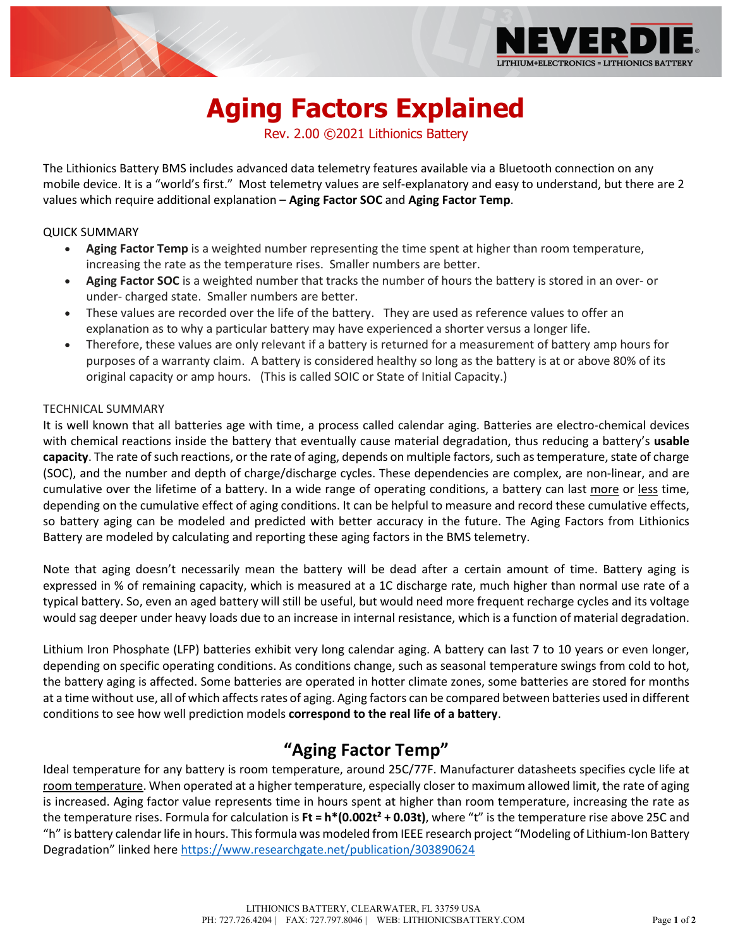

# **Aging Factors Explained**

Rev. 2.00 ©2021 Lithionics Battery

The Lithionics Battery BMS includes advanced data telemetry features available via a Bluetooth connection on any mobile device. It is a "world's first." Most telemetry values are self-explanatory and easy to understand, but there are 2 values which require additional explanation – **Aging Factor SOC** and **Aging Factor Temp**.

#### QUICK SUMMARY

- **Aging Factor Temp** is a weighted number representing the time spent at higher than room temperature, increasing the rate as the temperature rises. Smaller numbers are better.
- **Aging Factor SOC** is a weighted number that tracks the number of hours the battery is stored in an over- or under- charged state. Smaller numbers are better.
- These values are recorded over the life of the battery. They are used as reference values to offer an explanation as to why a particular battery may have experienced a shorter versus a longer life.
- Therefore, these values are only relevant if a battery is returned for a measurement of battery amp hours for purposes of a warranty claim. A battery is considered healthy so long as the battery is at or above 80% of its original capacity or amp hours. (This is called SOIC or State of Initial Capacity.)

#### TECHNICAL SUMMARY

It is well known that all batteries age with time, a process called calendar aging. Batteries are electro-chemical devices with chemical reactions inside the battery that eventually cause material degradation, thus reducing a battery's **usable capacity**. The rate of such reactions, or the rate of aging, depends on multiple factors, such as temperature, state of charge (SOC), and the number and depth of charge/discharge cycles. These dependencies are complex, are non-linear, and are cumulative over the lifetime of a battery. In a wide range of operating conditions, a battery can last more or less time, depending on the cumulative effect of aging conditions. It can be helpful to measure and record these cumulative effects, so battery aging can be modeled and predicted with better accuracy in the future. The Aging Factors from Lithionics Battery are modeled by calculating and reporting these aging factors in the BMS telemetry.

Note that aging doesn't necessarily mean the battery will be dead after a certain amount of time. Battery aging is expressed in % of remaining capacity, which is measured at a 1C discharge rate, much higher than normal use rate of a typical battery. So, even an aged battery will still be useful, but would need more frequent recharge cycles and its voltage would sag deeper under heavy loads due to an increase in internal resistance, which is a function of material degradation.

Lithium Iron Phosphate (LFP) batteries exhibit very long calendar aging. A battery can last 7 to 10 years or even longer, depending on specific operating conditions. As conditions change, such as seasonal temperature swings from cold to hot, the battery aging is affected. Some batteries are operated in hotter climate zones, some batteries are stored for months at a time without use, all of which affects rates of aging. Aging factors can be compared between batteries used in different conditions to see how well prediction models **correspond to the real life of a battery**.

## **"Aging Factor Temp"**

Ideal temperature for any battery is room temperature, around 25C/77F. Manufacturer datasheets specifies cycle life at room temperature. When operated at a higher temperature, especially closer to maximum allowed limit, the rate of aging is increased. Aging factor value represents time in hours spent at higher than room temperature, increasing the rate as the temperature rises. Formula for calculation is **Ft = h\*(0.002t² + 0.03t)**, where "t" is the temperature rise above 25C and "h" is battery calendar life in hours. This formula was modeled from IEEE research project "Modeling of Lithium-Ion Battery Degradation" linked here<https://www.researchgate.net/publication/303890624>